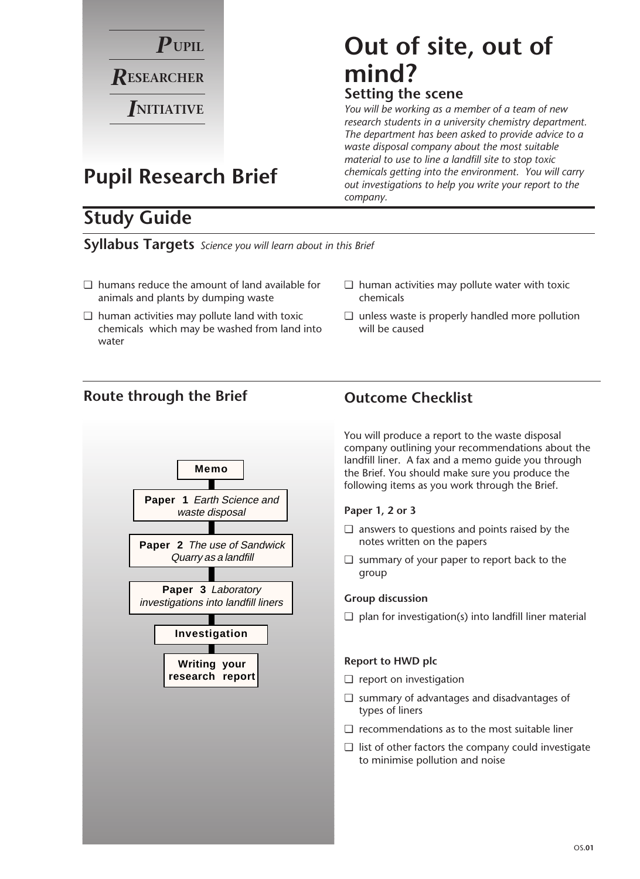

## **Pupil Research Brief**

### **Study Guide**

**Syllabus Targets** *Science you will learn about in this Brief*

- ❏ humans reduce the amount of land available for animals and plants by dumping waste
- ❏ human activities may pollute land with toxic chemicals which may be washed from land into water

#### ❏ unless waste is properly handled more pollution will be caused

❏ human activities may pollute water with toxic

#### **Route through the Brief Outcome Checklist**



You will produce a report to the waste disposal company outlining your recommendations about the landfill liner. A fax and a memo guide you through the Brief. You should make sure you produce the following items as you work through the Brief.

#### **Paper 1, 2 or 3**

chemicals

- ❏ answers to questions and points raised by the notes written on the papers
- ❏ summary of your paper to report back to the group

#### **Group discussion**

 $\Box$  plan for investigation(s) into landfill liner material

#### **Report to HWD plc**

- ❏ report on investigation
- ❏ summary of advantages and disadvantages of types of liners
- ❏ recommendations as to the most suitable liner
- ❏ list of other factors the company could investigate to minimise pollution and noise

## **Out of site, out of mind? Setting the scene**

*You will be working as a member of a team of new research students in a university chemistry department. The department has been asked to provide advice to a waste disposal company about the most suitable material to use to line a landfill site to stop toxic chemicals getting into the environment. You will carry out investigations to help you write your report to the company.*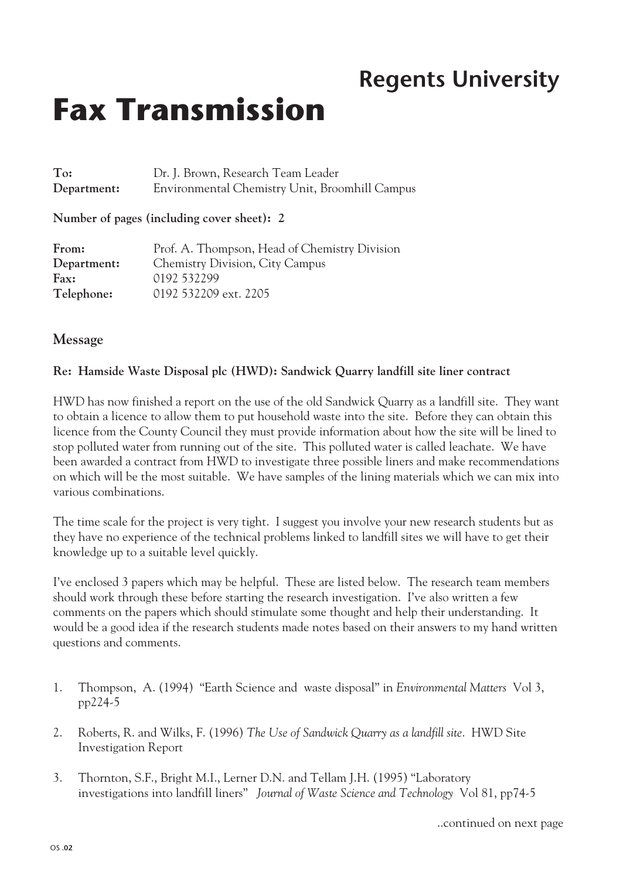## **Regents University**

# **Fax Transmission**

| To:         | Dr. J. Brown, Research Team Leader             |
|-------------|------------------------------------------------|
| Department: | Environmental Chemistry Unit, Broomhill Campus |

**Number of pages (including cover sheet): 2**

| From:       | Prof. A. Thompson, Head of Chemistry Division |
|-------------|-----------------------------------------------|
| Department: | <b>Chemistry Division, City Campus</b>        |
| Fax:        | 0192 532299                                   |
| Telephone:  | 0192 532209 ext. 2205                         |

#### **Message**

#### **Re: Hamside Waste Disposal plc (HWD): Sandwick Quarry landfill site liner contract**

HWD has now finished a report on the use of the old Sandwick Quarry as a landfill site. They want to obtain a licence to allow them to put household waste into the site. Before they can obtain this licence from the County Council they must provide information about how the site will be lined to stop polluted water from running out of the site. This polluted water is called leachate. We have been awarded a contract from HWD to investigate three possible liners and make recommendations on which will be the most suitable. We have samples of the lining materials which we can mix into various combinations.

The time scale for the project is very tight. I suggest you involve your new research students but as they have no experience of the technical problems linked to landfill sites we will have to get their knowledge up to a suitable level quickly.

I've enclosed 3 papers which may be helpful. These are listed below. The research team members should work through these before starting the research investigation. I've also written a few comments on the papers which should stimulate some thought and help their understanding. It would be a good idea if the research students made notes based on their answers to my hand written questions and comments.

- 1. Thompson, A. (1994) "Earth Science and waste disposal" in *Environmental Matters* Vol 3, pp224-5
- 2. Roberts, R. and Wilks, F. (1996) *The Use of Sandwick Quarry as a landfill site*. HWD Site Investigation Report
- 3. Thornton, S.F., Bright M.I., Lerner D.N. and Tellam J.H. (1995) "Laboratory investigations into landfill liners" *Journal of Waste Science and Technology* Vol 81, pp74-5

..continued on next page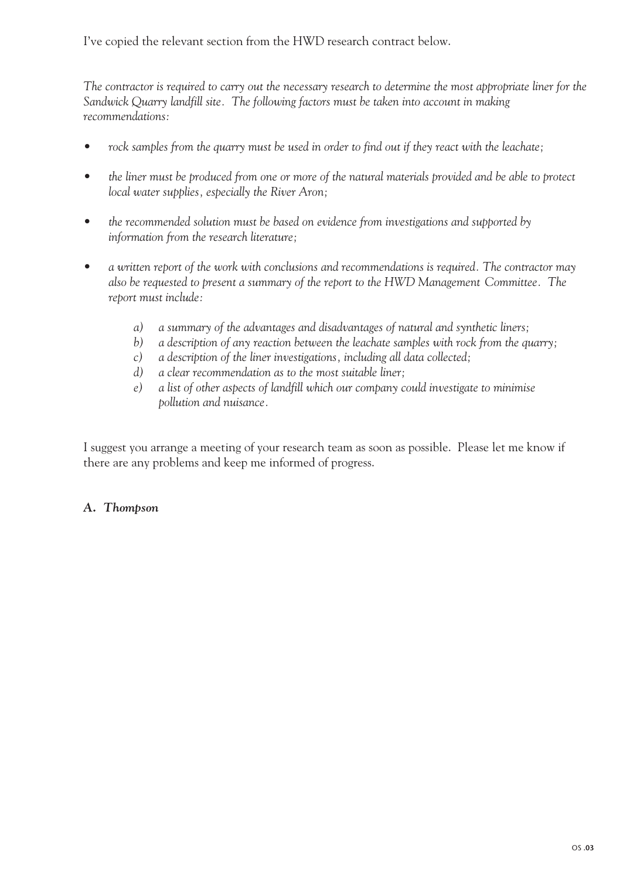I've copied the relevant section from the HWD research contract below.

*The contractor is required to carry out the necessary research to determine the most appropriate liner for the Sandwick Quarry landfill site. The following factors must be taken into account in making recommendations:*

- *rock samples from the quarry must be used in order to find out if they react with the leachate;*
- the liner must be produced from one or more of the natural materials provided and be able to protect *local water supplies, especially the River Aron;*
- *the recommended solution must be based on evidence from investigations and supported by information from the research literature;*
- *a written report of the work with conclusions and recommendations is required. The contractor may also be requested to present a summary of the report to the HWD Management Committee. The report must include:*
	- *a) a summary of the advantages and disadvantages of natural and synthetic liners;*
	- *b) a description of any reaction between the leachate samples with rock from the quarry;*
	- *c) a description of the liner investigations, including all data collected;*
	- *d) a clear recommendation as to the most suitable liner;*
	- *e) a list of other aspects of landfill which our company could investigate to minimise pollution and nuisance.*

I suggest you arrange a meeting of your research team as soon as possible. Please let me know if there are any problems and keep me informed of progress.

#### *A. Thompson*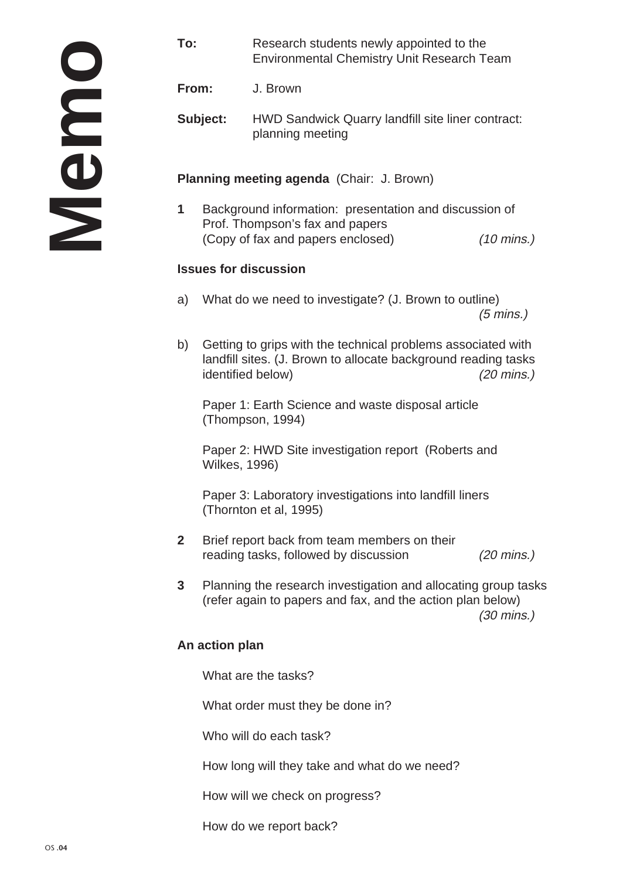**To:** Research students newly appointed to the Environmental Chemistry Unit Research Team

**From:** J. Brown

**Subject:** HWD Sandwick Quarry landfill site liner contract: planning meeting

**Planning meeting agenda** (Chair: J. Brown)

**1** Background information: presentation and discussion of Prof. Thompson's fax and papers (Copy of fax and papers enclosed) (10 mins.)

#### **Issues for discussion**

- a) What do we need to investigate? (J. Brown to outline) (5 mins.)
- b) Getting to grips with the technical problems associated with landfill sites. (J. Brown to allocate background reading tasks identified below) (20 mins.)

Paper 1: Earth Science and waste disposal article (Thompson, 1994)

Paper 2: HWD Site investigation report (Roberts and Wilkes, 1996)

Paper 3: Laboratory investigations into landfill liners (Thornton et al, 1995)

- **2** Brief report back from team members on their reading tasks, followed by discussion (20 mins.)
- **3** Planning the research investigation and allocating group tasks (refer again to papers and fax, and the action plan below) (30 mins.)

#### **An action plan**

What are the tasks?

What order must they be done in?

Who will do each task?

How long will they take and what do we need?

How will we check on progress?

How do we report back?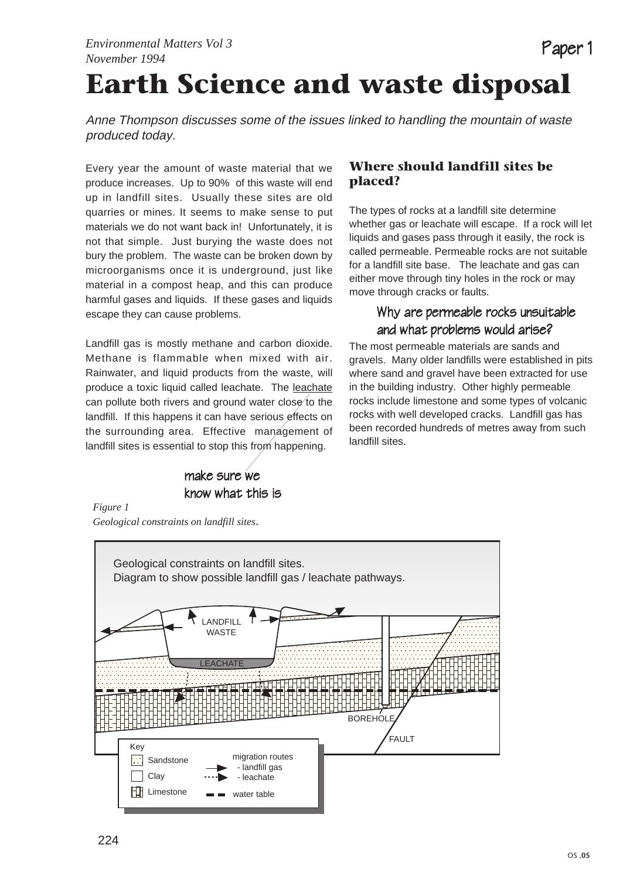## **Earth Science and waste disposal**

Anne Thompson discusses some of the issues linked to handling the mountain of waste produced today.

Every year the amount of waste material that we produce increases. Up to 90% of this waste will end up in landfill sites. Usually these sites are old quarries or mines. It seems to make sense to put materials we do not want back in! Unfortunately, it is not that simple. Just burying the waste does not bury the problem. The waste can be broken down by microorganisms once it is underground, just like material in a compost heap, and this can produce harmful gases and liquids. If these gases and liquids escape they can cause problems.

Landfill gas is mostly methane and carbon dioxide. Methane is flammable when mixed with air. Rainwater, and liquid products from the waste, will produce a toxic liquid called leachate. The leachate can pollute both rivers and ground water close to the landfill. If this happens it can have serious effects on the surrounding area. Effective management of landfill sites is essential to stop this from happening.

### make sure we know what this is

#### **Where should landfill sites be placed?**

The types of rocks at a landfill site determine whether gas or leachate will escape. If a rock will let liquids and gases pass through it easily, the rock is called permeable. Permeable rocks are not suitable for a landfill site base. The leachate and gas can either move through tiny holes in the rock or may move through cracks or faults.

Paper 1

#### Why are permeable rocks unsuitable and what problems would arise?

The most permeable materials are sands and gravels. Many older landfills were established in pits where sand and gravel have been extracted for use in the building industry. Other highly permeable rocks include limestone and some types of volcanic rocks with well developed cracks. Landfill gas has been recorded hundreds of metres away from such landfill sites.

*Figure 1 Geological constraints on landfill sites*.

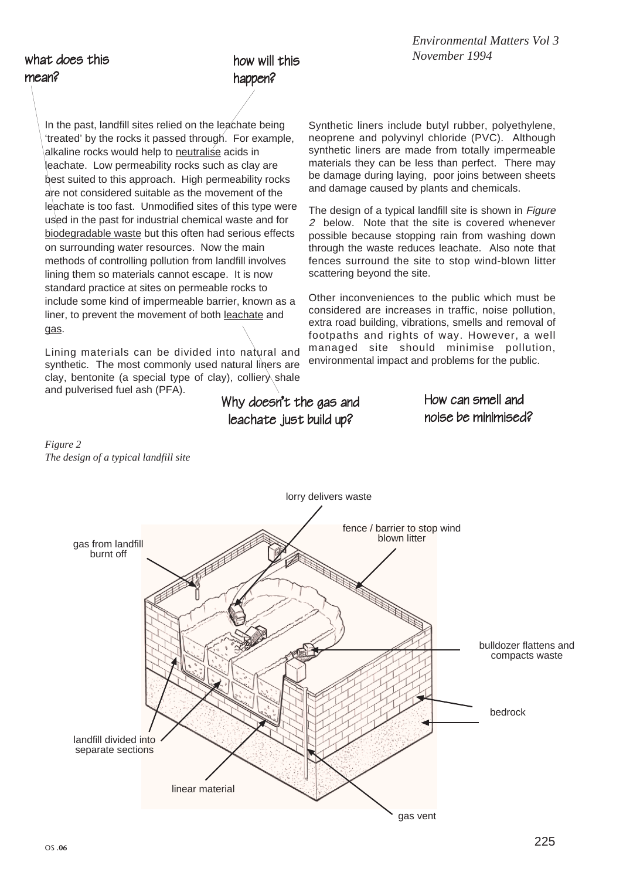what does this mean?

### how will this happen?

In the past, landfill sites relied on the leachate being 'treated' by the rocks it passed through. For example, alkaline rocks would help to neutralise acids in leachate. Low permeability rocks such as clay are best suited to this approach. High permeability rocks are not considered suitable as the movement of the leachate is too fast. Unmodified sites of this type were used in the past for industrial chemical waste and for biodegradable waste but this often had serious effects on surrounding water resources. Now the main methods of controlling pollution from landfill involves lining them so materials cannot escape. It is now standard practice at sites on permeable rocks to include some kind of impermeable barrier, known as a liner, to prevent the movement of both leachate and gas.

Lining materials can be divided into natural and synthetic. The most commonly used natural liners are clay, bentonite (a special type of clay), colliery shale and pulverised fuel ash (PFA).

Synthetic liners include butyl rubber, polyethylene, neoprene and polyvinyl chloride (PVC). Although synthetic liners are made from totally impermeable materials they can be less than perfect. There may be damage during laying, poor joins between sheets and damage caused by plants and chemicals.

The design of a typical landfill site is shown in *Figure* 2 below. Note that the site is covered whenever possible because stopping rain from washing down through the waste reduces leachate. Also note that fences surround the site to stop wind-blown litter scattering beyond the site.

Other inconveniences to the public which must be considered are increases in traffic, noise pollution, extra road building, vibrations, smells and removal of footpaths and rights of way. However, a well managed site should minimise pollution, environmental impact and problems for the public.

> How can smell and noise be minimised?

#### *Figure 2 The design of a typical landfill site*



Why doesn't the gas and leachate just build up?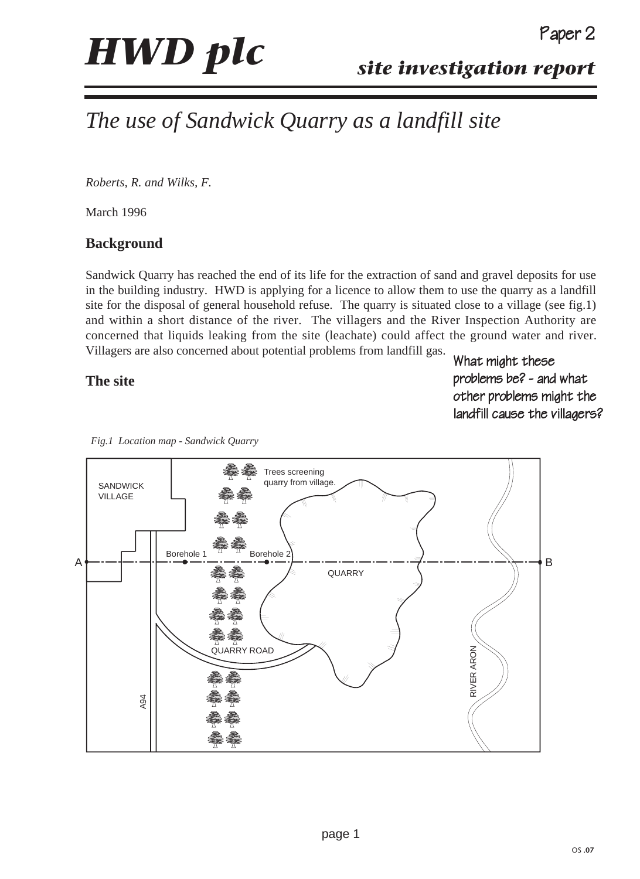## *The use of Sandwick Quarry as a landfill site*

*Roberts, R. and Wilks, F.*

March 1996

#### **Background**

Sandwick Quarry has reached the end of its life for the extraction of sand and gravel deposits for use in the building industry. HWD is applying for a licence to allow them to use the quarry as a landfill site for the disposal of general household refuse. The quarry is situated close to a village (see fig.1) and within a short distance of the river. The villagers and the River Inspection Authority are concerned that liquids leaking from the site (leachate) could affect the ground water and river. Villagers are also concerned about potential problems from landfill gas.

#### **The site**

What might these problems be? - and what other problems might the landfill cause the villagers?



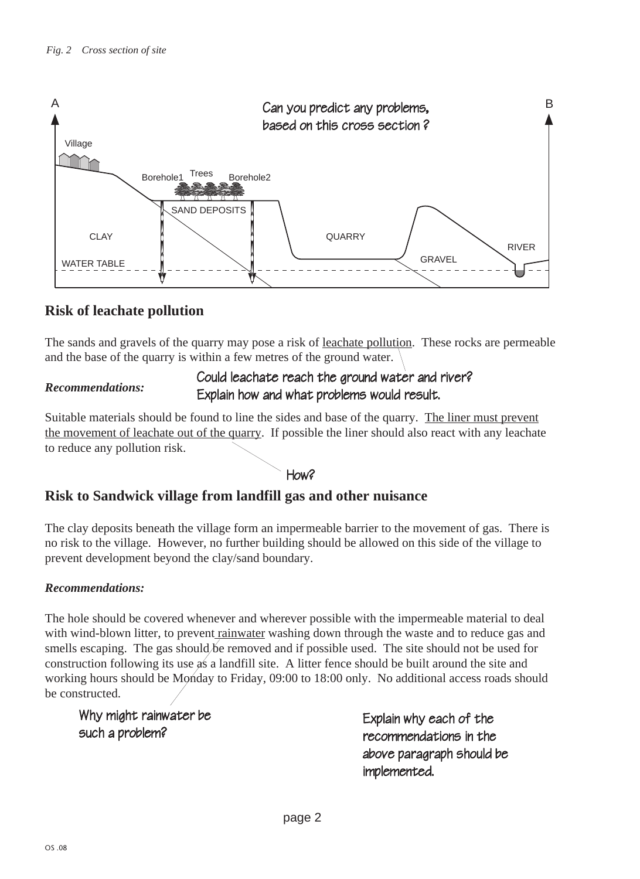

#### **Risk of leachate pollution**

The sands and gravels of the quarry may pose a risk of leachate pollution. These rocks are permeable and the base of the quarry is within a few metres of the ground water.

#### *Recommendations:*

#### Could leachate reach the ground water and river? Explain how and what problems would result.

Suitable materials should be found to line the sides and base of the quarry. The liner must prevent the movement of leachate out of the quarry. If possible the liner should also react with any leachate to reduce any pollution risk.

#### H<sub>ow</sub>?

#### **Risk to Sandwick village from landfill gas and other nuisance**

The clay deposits beneath the village form an impermeable barrier to the movement of gas. There is no risk to the village. However, no further building should be allowed on this side of the village to prevent development beyond the clay/sand boundary.

#### *Recommendations:*

The hole should be covered whenever and wherever possible with the impermeable material to deal with wind-blown litter, to prevent rainwater washing down through the waste and to reduce gas and smells escaping. The gas should be removed and if possible used. The site should not be used for construction following its use as a landfill site. A litter fence should be built around the site and working hours should be Monday to Friday, 09:00 to 18:00 only. No additional access roads should be constructed.

Why might rainwater be such a problem?

Explain why each of the recommendations in the above paragraph should be implemented.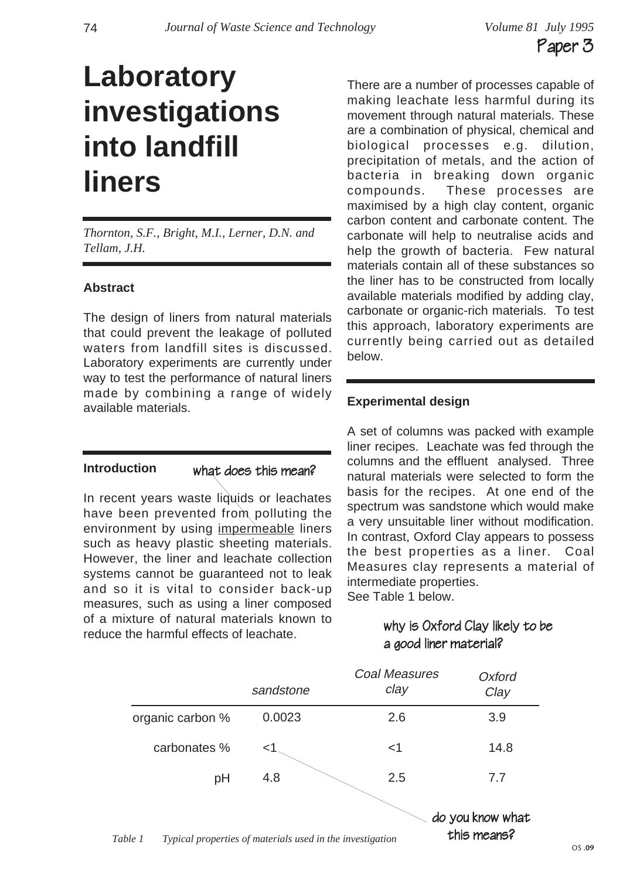## **Laboratory investigations into landfill liners**

*Thornton, S.F., Bright, M.I., Lerner, D.N. and Tellam, J.H.*

#### **Abstract**

The design of liners from natural materials that could prevent the leakage of polluted waters from landfill sites is discussed. Laboratory experiments are currently under way to test the performance of natural liners made by combining a range of widely available materials.

#### **Introduction**

#### what does this mean?

In recent years waste liquids or leachates have been prevented from polluting the environment by using impermeable liners such as heavy plastic sheeting materials. However, the liner and leachate collection systems cannot be guaranteed not to leak and so it is vital to consider back-up measures, such as using a liner composed of a mixture of natural materials known to reduce the harmful effects of leachate.

There are a number of processes capable of making leachate less harmful during its movement through natural materials. These are a combination of physical, chemical and biological processes e.g. dilution, precipitation of metals, and the action of bacteria in breaking down organic compounds. These processes are maximised by a high clay content, organic carbon content and carbonate content. The carbonate will help to neutralise acids and help the growth of bacteria. Few natural materials contain all of these substances so the liner has to be constructed from locally available materials modified by adding clay, carbonate or organic-rich materials. To test this approach, laboratory experiments are currently being carried out as detailed below.

#### **Experimental design**

A set of columns was packed with example liner recipes. Leachate was fed through the columns and the effluent analysed. Three natural materials were selected to form the basis for the recipes. At one end of the spectrum was sandstone which would make a very unsuitable liner without modification. In contrast, Oxford Clay appears to possess the best properties as a liner. Coal Measures clay represents a material of intermediate properties. See Table 1 below.

> why is Oxford Clay likely to be a good liner material?



*Table 1 Typical properties of materials used in the investigation*